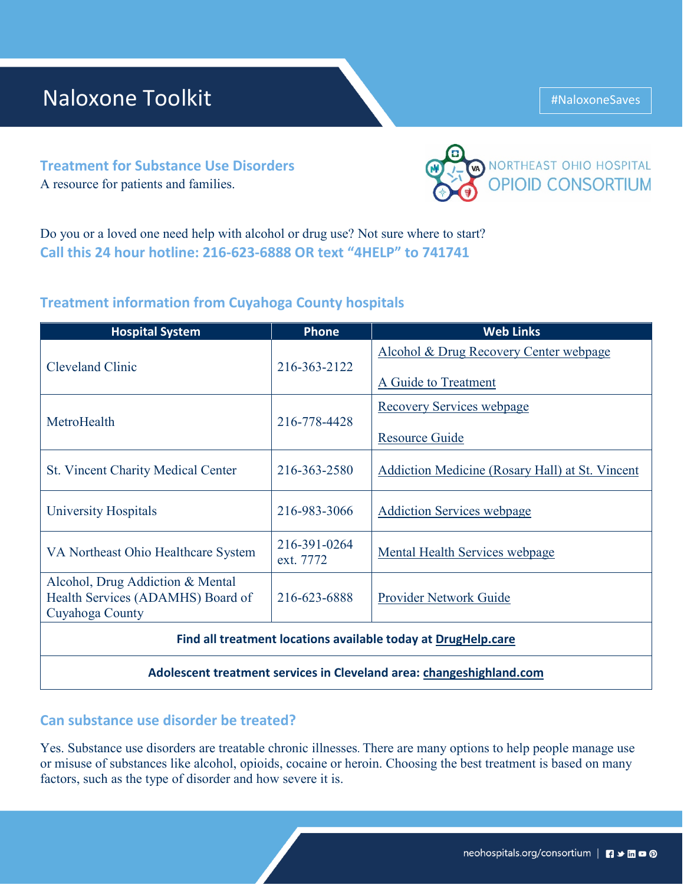# Naloxone Toolkit **Algebra 1988**

**Treatment for Substance Use Disorders** A resource for patients and families.

Do you or a loved one need help with alcohol or drug use? Not sure where to start? **Call this 24 hour hotline: 216-623-6888 OR text "4HELP" to 741741**

### **Treatment information from Cuyahoga County hospitals**

| <b>Hospital System</b>                                                                   | <b>Phone</b>              | <b>Web Links</b>                                               |
|------------------------------------------------------------------------------------------|---------------------------|----------------------------------------------------------------|
| <b>Cleveland Clinic</b>                                                                  | 216-363-2122              | Alcohol & Drug Recovery Center webpage<br>A Guide to Treatment |
| MetroHealth                                                                              | 216-778-4428              | <b>Recovery Services webpage</b><br><b>Resource Guide</b>      |
| <b>St. Vincent Charity Medical Center</b>                                                | 216-363-2580              | Addiction Medicine (Rosary Hall) at St. Vincent                |
| University Hospitals                                                                     | 216-983-3066              | <b>Addiction Services webpage</b>                              |
| VA Northeast Ohio Healthcare System                                                      | 216-391-0264<br>ext. 7772 | <b>Mental Health Services webpage</b>                          |
| Alcohol, Drug Addiction & Mental<br>Health Services (ADAMHS) Board of<br>Cuyahoga County | 216-623-6888              | Provider Network Guide                                         |
| Find all treatment locations available today at DrugHelp.care                            |                           |                                                                |
| Adolescent treatment services in Cleveland area: changeshighland.com                     |                           |                                                                |

### **Can substance use disorder be treated?**

Yes. Substance use disorders are treatable chronic illnesses. There are many options to help people manage use or misuse of substances like alcohol, opioids, cocaine or heroin. Choosing the best treatment is based on many factors, such as the type of disorder and how severe it is.